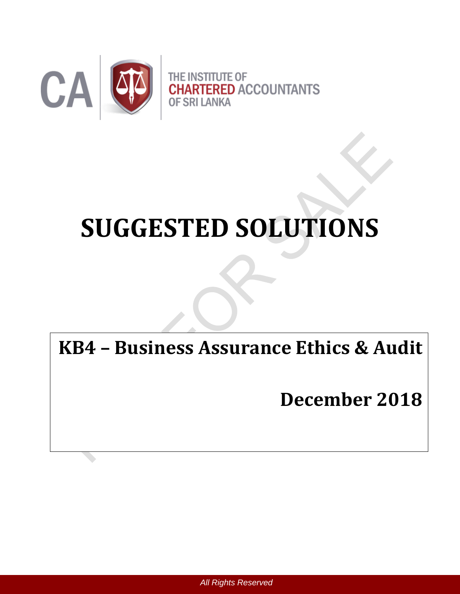

# **SUGGESTED SOLUTIONS**

**KB4 – Business Assurance Ethics & Audit**

**December 2018**

 *All Rights Reserved*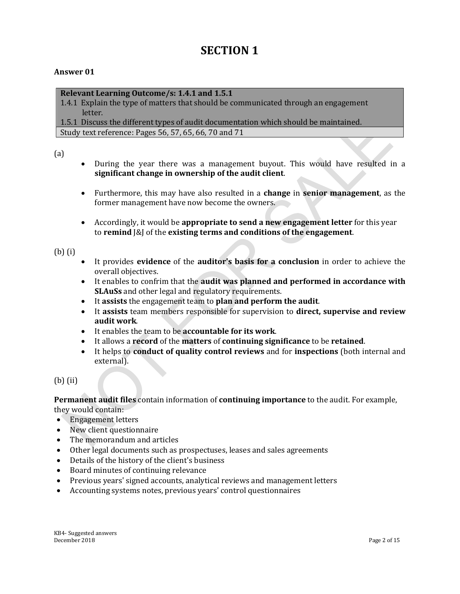## **SECTION 1**

### **Answer 01**

### **Relevant Learning Outcome/s: 1.4.1 and 1.5.1**

1.4.1 Explain the type of matters that should be communicated through an engagement letter.

1.5.1 Discuss the different types of audit documentation which should be maintained. Study text reference: Pages 56, 57, 65, 66, 70 and 71

(a)

- During the year there was a management buyout. This would have resulted in a **significant change in ownership of the audit client**.
- Furthermore, this may have also resulted in a **change** in **senior management**, as the former management have now become the owners.
- Accordingly, it would be **appropriate to send a new engagement letter** for this year to **remind** J&J of the **existing terms and conditions of the engagement**.

### (b) (i)

- It provides **evidence** of the **auditor's basis for a conclusion** in order to achieve the overall objectives.
- It enables to confrim that the **audit was planned and performed in accordance with SLAuSs** and other legal and regulatory requirements.
- It **assists** the engagement team to **plan and perform the audit**.
- It **assists** team members responsible for supervision to **direct, supervise and review audit work**.
- It enables the team to be **accountable for its work**.
- It allows a **record** of the **matters** of **continuing significance** to be **retained**.
- It helps to **conduct of quality control reviews** and for **inspections** (both internal and external).

(b) (ii)

**Permanent audit files** contain information of **continuing importance** to the audit. For example, they would contain:

- Engagement letters
- New client questionnaire
- The memorandum and articles
- Other legal documents such as prospectuses, leases and sales agreements
- Details of the history of the client's business
- Board minutes of continuing relevance
- Previous years' signed accounts, analytical reviews and management letters
- Accounting systems notes, previous years' control questionnaires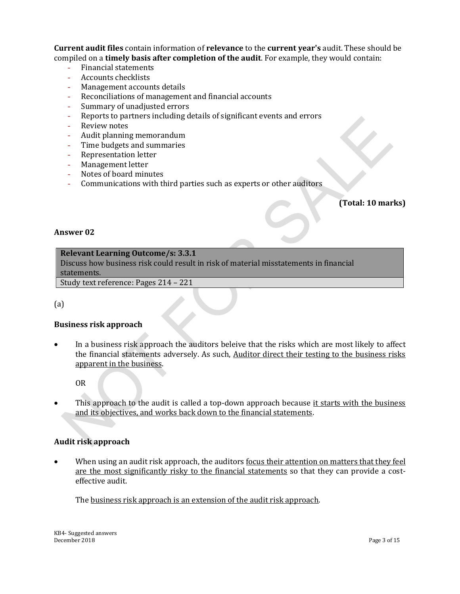**Current audit files** contain information of **relevance** to the **current year's** audit. These should be compiled on a **timely basis after completion of the audit**. For example, they would contain:

- Financial statements
- Accounts checklists
- Management accounts details
- Reconciliations of management and financial accounts
- Summary of unadjusted errors
- Reports to partners including details of significant events and errors
- Review notes
- Audit planning memorandum
- Time budgets and summaries
- Representation letter
- Management letter
- Notes of board minutes
- Communications with third parties such as experts or other auditors

### **(Total: 10 marks)**

### **Answer 02**

### **Relevant Learning Outcome/s: 3.3.1**

Discuss how business risk could result in risk of material misstatements in financial statements.

Study text reference: Pages 214 – 221

(a)

### **Business risk approach**

 In a business risk approach the auditors beleive that the risks which are most likely to affect the financial statements adversely. As such, Auditor direct their testing to the business risks apparent in the business.

OR

This approach to the audit is called a top-down approach because it starts with the business and its objectives, and works back down to the financial statements.

### **Audit risk approach**

When using an audit risk approach, the auditors <u>focus their attention on matters that they feel</u> are the most significantly risky to the financial statements so that they can provide a costeffective audit.

The business risk approach is an extension of the audit risk approach.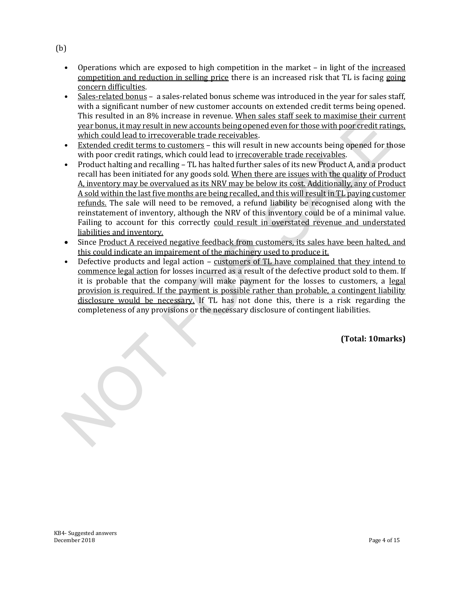- Operations which are exposed to high competition in the market in light of the increased competition and reduction in selling price there is an increased risk that TL is facing going concern difficulties.
- Sales-related bonus a sales-related bonus scheme was introduced in the year for sales staff, with a significant number of new customer accounts on extended credit terms being opened. This resulted in an 8% increase in revenue. When sales staff seek to maximise their current year bonus, it may result in new accounts being opened even for those with poor credit ratings, which could lead to irrecoverable trade receivables.
- Extended credit terms to customers this will result in new accounts being opened for those with poor credit ratings, which could lead to irrecoverable trade receivables.
- Product halting and recalling TL has halted further sales of its new Product A, and a product recall has been initiated for any goods sold. When there are issues with the quality of Product A, inventory may be overvalued as its NRV may be below its cost. Additionally, any of Product A sold within the last five months are being recalled, and this will result in TL paying customer refunds. The sale will need to be removed, a refund liability be recognised along with the reinstatement of inventory, although the NRV of this inventory could be of a minimal value. Failing to account for this correctly could result in overstated revenue and understated liabilities and inventory.
- Since Product A received negative feedback from customers, its sales have been halted, and this could indicate an impairement of the machinery used to produce it.
- Defective products and legal action customers of TL have complained that they intend to commence legal action for losses incurred as a result of the defective product sold to them. If it is probable that the company will make payment for the losses to customers, a legal provision is required. If the payment is possible rather than probable, a contingent liability disclosure would be necessary. If TL has not done this, there is a risk regarding the completeness of any provisions or the necessary disclosure of contingent liabilities.

**(Total: 10marks)**

(b)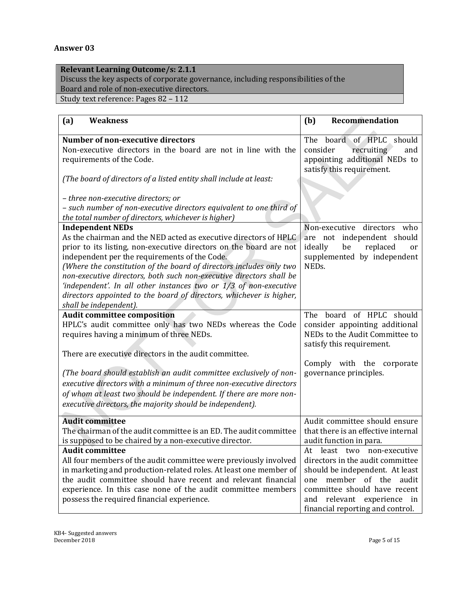### **Answer 03**

### **Relevant Learning Outcome/s: 2.1.1**

Discuss the key aspects of corporate governance, including responsibilities of the Board and role of non-executive directors.

Study text reference: Pages 82 – 112

| (a)<br><b>Weakness</b>                                                                                                                                                                                                                                                                                                                                                                                                                                                                                                                 | (b)<br>Recommendation                                                                                                                                                                                                             |
|----------------------------------------------------------------------------------------------------------------------------------------------------------------------------------------------------------------------------------------------------------------------------------------------------------------------------------------------------------------------------------------------------------------------------------------------------------------------------------------------------------------------------------------|-----------------------------------------------------------------------------------------------------------------------------------------------------------------------------------------------------------------------------------|
| <b>Number of non-executive directors</b><br>Non-executive directors in the board are not in line with the<br>requirements of the Code.                                                                                                                                                                                                                                                                                                                                                                                                 | board of HPLC should<br>The<br>recruiting<br>consider<br>and<br>appointing additional NEDs to<br>satisfy this requirement.                                                                                                        |
| (The board of directors of a listed entity shall include at least:<br>- three non-executive directors; or<br>- such number of non-executive directors equivalent to one third of<br>the total number of directors, whichever is higher)                                                                                                                                                                                                                                                                                                |                                                                                                                                                                                                                                   |
| <b>Independent NEDs</b><br>As the chairman and the NED acted as executive directors of HPLC<br>prior to its listing, non-executive directors on the board are not<br>independent per the requirements of the Code.<br>(Where the constitution of the board of directors includes only two<br>non-executive directors, both such non-executive directors shall be<br>'independent'. In all other instances two or 1/3 of non-executive<br>directors appointed to the board of directors, whichever is higher,<br>shall be independent). | Non-executive<br>directors who<br>are not independent should<br>be<br>replaced<br>ideally<br>or<br>supplemented by independent<br>NEDs.                                                                                           |
| <b>Audit committee composition</b><br>HPLC's audit committee only has two NEDs whereas the Code<br>requires having a minimum of three NEDs.<br>There are executive directors in the audit committee.<br>(The board should establish an audit committee exclusively of non-<br>executive directors with a minimum of three non-executive directors<br>of whom at least two should be independent. If there are more non-<br>executive directors, the majority should be independent).                                                   | board of HPLC should<br>The<br>consider appointing additional<br>NEDs to the Audit Committee to<br>satisfy this requirement.<br>Comply with the corporate<br>governance principles.                                               |
| <b>Audit committee</b><br>The chairman of the audit committee is an ED. The audit committee<br>is supposed to be chaired by a non-executive director.                                                                                                                                                                                                                                                                                                                                                                                  | Audit committee should ensure<br>that there is an effective internal<br>audit function in para.                                                                                                                                   |
| <b>Audit committee</b><br>All four members of the audit committee were previously involved<br>in marketing and production-related roles. At least one member of<br>the audit committee should have recent and relevant financial<br>experience. In this case none of the audit committee members<br>possess the required financial experience.                                                                                                                                                                                         | At least two non-executive<br>directors in the audit committee<br>should be independent. At least<br>member of the audit<br>one<br>committee should have recent<br>and relevant experience in<br>financial reporting and control. |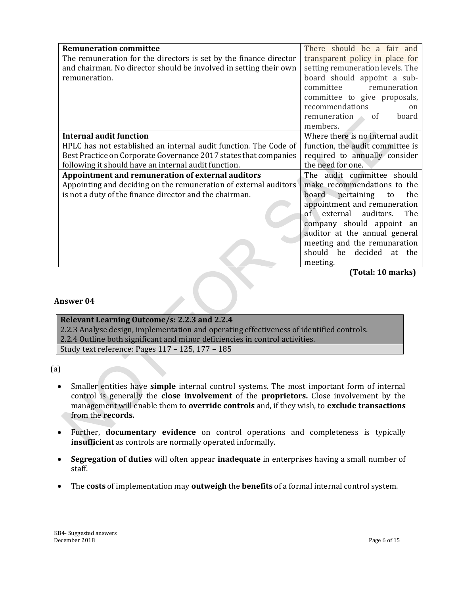| <b>Remuneration committee</b>                                     | There should be a fair and       |
|-------------------------------------------------------------------|----------------------------------|
| The remuneration for the directors is set by the finance director | transparent policy in place for  |
| and chairman. No director should be involved in setting their own | setting remuneration levels. The |
| remuneration.                                                     | board should appoint a sub-      |
|                                                                   | committee<br>remuneration        |
|                                                                   | committee to give proposals,     |
|                                                                   | recommendations<br>on            |
|                                                                   | remuneration<br>board<br>of      |
|                                                                   | members.                         |
| <b>Internal audit function</b>                                    | Where there is no internal audit |
| HPLC has not established an internal audit function. The Code of  | function, the audit committee is |
| Best Practice on Corporate Governance 2017 states that companies  | required to annually consider    |
| following it should have an internal audit function.              | the need for one.                |
| Appointment and remuneration of external auditors                 | The audit committee should       |
| Appointing and deciding on the remuneration of external auditors  | make recommendations to the      |
| is not a duty of the finance director and the chairman.           | pertaining<br>board<br>the<br>to |
|                                                                   | appointment and remuneration     |
|                                                                   | of external<br>auditors.<br>The  |
|                                                                   | company should appoint an        |
|                                                                   | auditor at the annual general    |
|                                                                   | meeting and the remunaration     |
|                                                                   | should be decided<br>at the      |
|                                                                   | meeting.                         |

**(Total: 10 marks)**

### **Answer 04**

### **Relevant Learning Outcome/s: 2.2.3 and 2.2.4** 2.2.3 Analyse design, implementation and operating effectiveness of identified controls. 2.2.4 Outline both significant and minor deficiencies in control activities.

Study text reference: Pages 117 – 125, 177 – 185

(a)

- Smaller entities have **simple** internal control systems. The most important form of internal control is generally the **close involvement** of the **proprietors.** Close involvement by the management will enable them to **override controls** and, if they wish, to **exclude transactions** from the **records.**
- Further, **documentary evidence** on control operations and completeness is typically **insufficient** as controls are normally operated informally.
- **Segregation of duties** will often appear **inadequate** in enterprises having a small number of staff.
- The **costs** of implementation may **outweigh** the **benefits** of a formal internal control system.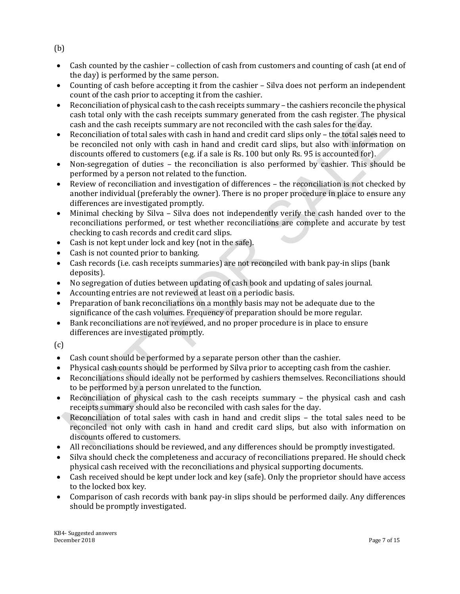(b)

- Cash counted by the cashier collection of cash from customers and counting of cash (at end of the day) is performed by the same person.
- Counting of cash before accepting it from the cashier Silva does not perform an independent count of the cash prior to accepting it from the cashier.
- Reconciliation of physical cash to the cash receipts summary the cashiers reconcile the physical cash total only with the cash receipts summary generated from the cash register. The physical cash and the cash receipts summary are not reconciled with the cash sales for the day.
- Reconciliation of total sales with cash in hand and credit card slips only the total sales need to be reconciled not only with cash in hand and credit card slips, but also with information on discounts offered to customers (e.g. if a sale is Rs. 100 but only Rs. 95 is accounted for).
- Non-segregation of duties the reconciliation is also performed by cashier. This should be performed by a person not related to the function.
- Review of reconciliation and investigation of differences the reconciliation is not checked by another individual (preferably the owner). There is no proper procedure in place to ensure any differences are investigated promptly.
- Minimal checking by Silva Silva does not independently verify the cash handed over to the reconciliations performed, or test whether reconciliations are complete and accurate by test checking to cash records and credit card slips.
- Cash is not kept under lock and key (not in the safe).
- Cash is not counted prior to banking.
- Cash records (i.e. cash receipts summaries) are not reconciled with bank pay-in slips (bank deposits).
- No segregation of duties between updating of cash book and updating of sales journal.
- Accounting entries are not reviewed at least on a periodic basis.
- Preparation of bank reconciliations on a monthly basis may not be adequate due to the significance of the cash volumes. Frequency of preparation should be more regular.
- Bank reconciliations are not reviewed, and no proper procedure is in place to ensure differences are investigated promptly.

(c)

- Cash count should be performed by a separate person other than the cashier.
- Physical cash counts should be performed by Silva prior to accepting cash from the cashier.
- Reconciliations should ideally not be performed by cashiers themselves. Reconciliations should to be performed by a person unrelated to the function.
- Reconciliation of physical cash to the cash receipts summary the physical cash and cash receipts summary should also be reconciled with cash sales for the day.
- Reconciliation of total sales with cash in hand and credit slips the total sales need to be reconciled not only with cash in hand and credit card slips, but also with information on discounts offered to customers.
- All reconciliations should be reviewed, and any differences should be promptly investigated.
- Silva should check the completeness and accuracy of reconciliations prepared. He should check physical cash received with the reconciliations and physical supporting documents.
- Cash received should be kept under lock and key (safe). Only the proprietor should have access to the locked box key.
- Comparison of cash records with bank pay-in slips should be performed daily. Any differences should be promptly investigated.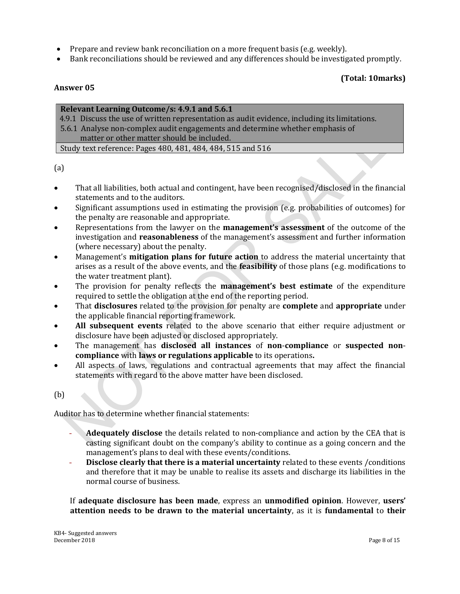- Prepare and review bank reconciliation on a more frequent basis (e.g. weekly).
- Bank reconciliations should be reviewed and any differences should be investigated promptly.

### **(Total: 10marks)**

### **Answer 05**

### **Relevant Learning Outcome/s: 4.9.1 and 5.6.1**

4.9.1 Discuss the use of written representation as audit evidence, including its limitations.

5.6.1 Analyse non-complex audit engagements and determine whether emphasis of matter or other matter should be included.

Study text reference: Pages 480, 481, 484, 484, 515 and 516

(a)

- That all liabilities, both actual and contingent, have been recognised/disclosed in the financial statements and to the auditors.
- Significant assumptions used in estimating the provision (e.g. probabilities of outcomes) for the penalty are reasonable and appropriate.
- Representations from the lawyer on the **management's assessment** of the outcome of the investigation and **reasonableness** of the management's assessment and further information (where necessary) about the penalty.
- Management's **mitigation plans for future action** to address the material uncertainty that arises as a result of the above events, and the **feasibility** of those plans (e.g. modifications to the water treatment plant).
- The provision for penalty reflects the **management's best estimate** of the expenditure required to settle the obligation at the end of the reporting period.
- That **disclosures** related to the provision for penalty are **complete** and **appropriate** under the applicable financial reporting framework.
- **All subsequent events** related to the above scenario that either require adjustment or disclosure have been adjusted or disclosed appropriately.
- The management has **disclosed all instances** of **non**-**compliance** or **suspected noncompliance** with **laws or regulations applicable** to its operations**.**
- All aspects of laws, regulations and contractual agreements that may affect the financial statements with regard to the above matter have been disclosed.

(b)

Auditor has to determine whether financial statements:

- **Adequately disclose** the details related to non-compliance and action by the CEA that is casting significant doubt on the company's ability to continue as a going concern and the management's plans to deal with these events/conditions.
- **Disclose clearly that there is a material uncertainty** related to these events /conditions and therefore that it may be unable to realise its assets and discharge its liabilities in the normal course of business.

If **adequate disclosure has been made**, express an **unmodified opinion**. However, **users' attention needs to be drawn to the material uncertainty**, as it is **fundamental** to **their**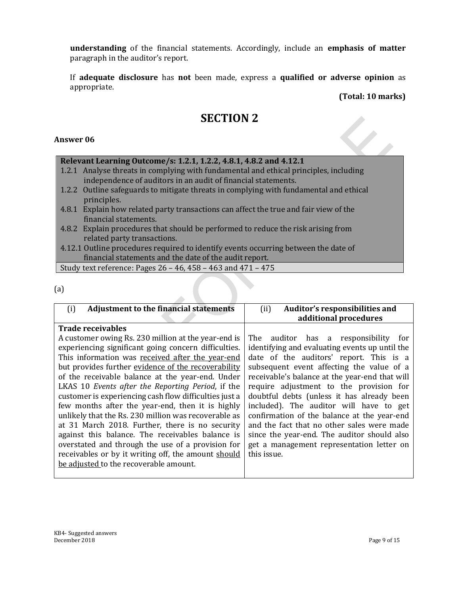**understanding** of the financial statements. Accordingly, include an **emphasis of matter** paragraph in the auditor's report.

If **adequate disclosure** has **not** been made, express a **qualified or adverse opinion** as appropriate.

**(Total: 10 marks)**

### **SECTION 2**

### **Answer 06**

### **Relevant Learning Outcome/s: 1.2.1, 1.2.2, 4.8.1, 4.8.2 and 4.12.1**

- 1.2.1 Analyse threats in complying with fundamental and ethical principles, including independence of auditors in an audit of financial statements.
- 1.2.2 Outline safeguards to mitigate threats in complying with fundamental and ethical principles.
- 4.8.1 Explain how related party transactions can affect the true and fair view of the financial statements.
- 4.8.2 Explain procedures that should be performed to reduce the risk arising from related party transactions.

4.12.1 Outline procedures required to identify events occurring between the date of financial statements and the date of the audit report.

Study text reference: Pages 26 – 46, 458 – 463 and 471 – 475

(a)

| <b>Adjustment to the financial statements</b><br>(i)   | Auditor's responsibilities and<br>(ii)         |
|--------------------------------------------------------|------------------------------------------------|
|                                                        | additional procedures                          |
| <b>Trade receivables</b>                               |                                                |
| A customer owing Rs. 230 million at the year-end is    | auditor has a responsibility for<br>The        |
| experiencing significant going concern difficulties.   | identifying and evaluating events up until the |
| This information was received after the year-end       | date of the auditors' report. This is a        |
| but provides further evidence of the recoverability    | subsequent event affecting the value of a      |
| of the receivable balance at the year-end. Under       | receivable's balance at the year-end that will |
| LKAS 10 Events after the Reporting Period, if the      | require adjustment to the provision for        |
| customer is experiencing cash flow difficulties just a | doubtful debts (unless it has already been     |
| few months after the year-end, then it is highly       | included). The auditor will have to get        |
| unlikely that the Rs. 230 million was recoverable as   | confirmation of the balance at the year-end    |
| at 31 March 2018. Further, there is no security        | and the fact that no other sales were made     |
| against this balance. The receivables balance is       | since the year-end. The auditor should also    |
| overstated and through the use of a provision for      | get a management representation letter on      |
| receivables or by it writing off, the amount should    | this issue.                                    |
| be adjusted to the recoverable amount.                 |                                                |
|                                                        |                                                |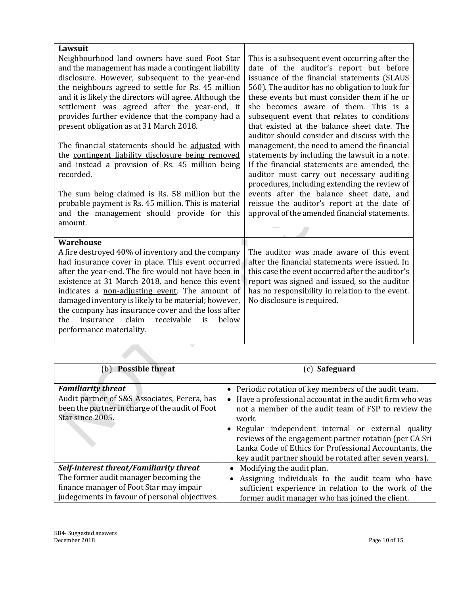| Lawsuit                                                 |                                                                                             |
|---------------------------------------------------------|---------------------------------------------------------------------------------------------|
| Neighbourhood land owners have sued Foot Star           | This is a subsequent event occurring after the                                              |
| and the management has made a contingent liability      | date of the auditor's report but before                                                     |
| disclosure. However, subsequent to the year-end         | issuance of the financial statements (SLAUS                                                 |
| the neighbours agreed to settle for Rs. 45 million      | 560). The auditor has no obligation to look for                                             |
| and it is likely the directors will agree. Although the | these events but must consider them if he or                                                |
| settlement was agreed after the year-end, it            | she becomes aware of them. This is a                                                        |
| provides further evidence that the company had a        | subsequent event that relates to conditions                                                 |
| present obligation as at 31 March 2018.                 | that existed at the balance sheet date. The<br>auditor should consider and discuss with the |
| The financial statements should be adjusted with        | management, the need to amend the financial                                                 |
| the contingent liability disclosure being removed       | statements by including the lawsuit in a note.                                              |
| and instead a provision of Rs. 45 million being         | If the financial statements are amended, the                                                |
| recorded.                                               | auditor must carry out necessary auditing                                                   |
|                                                         | procedures, including extending the review of                                               |
| The sum being claimed is Rs. 58 million but the         | events after the balance sheet date, and                                                    |
| probable payment is Rs. 45 million. This is material    | reissue the auditor's report at the date of                                                 |
| and the management should provide for this              | approval of the amended financial statements.                                               |
| amount.                                                 |                                                                                             |
|                                                         |                                                                                             |
| <b>Warehouse</b>                                        |                                                                                             |
| A fire destroyed 40% of inventory and the company       | The auditor was made aware of this event                                                    |
| had insurance cover in place. This event occurred       | after the financial statements were issued. In                                              |
| after the year-end. The fire would not have been in     | this case the event occurred after the auditor's                                            |
| existence at 31 March 2018, and hence this event        | report was signed and issued, so the auditor                                                |
| indicates a non-adjusting event. The amount of          | has no responsibility in relation to the event.                                             |
| damaged inventory is likely to be material; however,    | No disclosure is required.                                                                  |
| the company has insurance cover and the loss after      |                                                                                             |
| claim<br>below<br>insurance<br>receivable<br>the<br>is  |                                                                                             |
| performance materiality.                                |                                                                                             |
|                                                         |                                                                                             |

| <b>Possible threat</b><br>(b)                                                                                                                    | (c) Safeguard                                                                                                                                                                                                                                                                                                                                                                                                           |
|--------------------------------------------------------------------------------------------------------------------------------------------------|-------------------------------------------------------------------------------------------------------------------------------------------------------------------------------------------------------------------------------------------------------------------------------------------------------------------------------------------------------------------------------------------------------------------------|
| <b>Familiarity threat</b><br>Audit partner of S&S Associates, Perera, has<br>been the partner in charge of the audit of Foot<br>Star since 2005. | • Periodic rotation of key members of the audit team.<br>• Have a professional accountat in the audit firm who was<br>not a member of the audit team of FSP to review the<br>work.<br>• Regular independent internal or external quality<br>reviews of the engagement partner rotation (per CA Sri<br>Lanka Code of Ethics for Professional Accountants, the<br>key audit partner should be rotated after seven years). |
| Self-interest threat/Familiarity threat                                                                                                          | Modifying the audit plan.                                                                                                                                                                                                                                                                                                                                                                                               |
| The former audit manager becoming the                                                                                                            | Assigning individuals to the audit team who have                                                                                                                                                                                                                                                                                                                                                                        |
| finance manager of Foot Star may impair                                                                                                          | sufficient experience in relation to the work of the                                                                                                                                                                                                                                                                                                                                                                    |
| judegements in favour of personal objectives.                                                                                                    | former audit manager who has joined the client.                                                                                                                                                                                                                                                                                                                                                                         |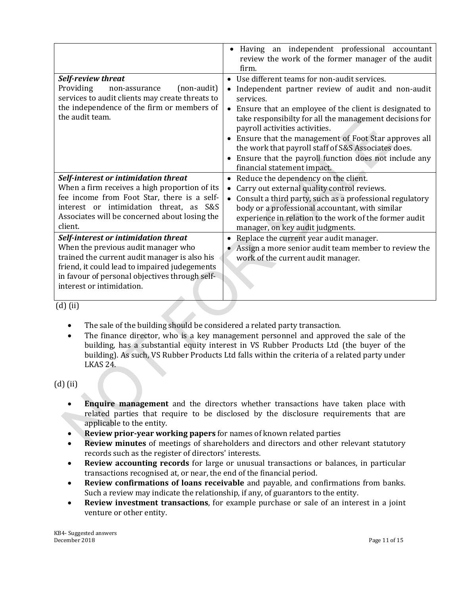|                                                                                                                                                                                                                                                              | Having an independent professional accountant<br>review the work of the former manager of the audit<br>firm.                                                                                                                                                                                                                                                                                                                                                                               |
|--------------------------------------------------------------------------------------------------------------------------------------------------------------------------------------------------------------------------------------------------------------|--------------------------------------------------------------------------------------------------------------------------------------------------------------------------------------------------------------------------------------------------------------------------------------------------------------------------------------------------------------------------------------------------------------------------------------------------------------------------------------------|
| Self-review threat<br>Providing<br>(non-audit)<br>non-assurance<br>services to audit clients may create threats to<br>the independence of the firm or members of<br>the audit team.                                                                          | • Use different teams for non-audit services.<br>Independent partner review of audit and non-audit<br>services.<br>Ensure that an employee of the client is designated to<br>$\bullet$<br>take responsibilty for all the management decisions for<br>payroll activities activities.<br>Ensure that the management of Foot Star approves all<br>the work that payroll staff of S&S Associates does.<br>Ensure that the payroll function does not include any<br>financial statement impact. |
| Self-interest or intimidation threat<br>When a firm receives a high proportion of its<br>fee income from Foot Star, there is a self-<br>interest or intimidation threat, as S&S<br>Associates will be concerned about losing the<br>client.                  | Reduce the dependency on the client.<br>Carry out external quality control reviews.<br>Consult a third party, such as a professional regulatory<br>body or a professional accountant, with similar<br>experience in relation to the work of the former audit<br>manager, on key audit judgments.                                                                                                                                                                                           |
| Self-interest or intimidation threat<br>When the previous audit manager who<br>trained the current audit manager is also his<br>friend, it could lead to impaired judegements<br>in favour of personal objectives through self-<br>interest or intimidation. | Replace the current year audit manager.<br>• Assign a more senior audit team member to review the<br>work of the current audit manager.                                                                                                                                                                                                                                                                                                                                                    |

(d) (ii)

- The sale of the building should be considered a related party transaction.
- The finance director, who is a key management personnel and approved the sale of the building, has a substantial equity interest in VS Rubber Products Ltd (the buyer of the building). As such, VS Rubber Products Ltd falls within the criteria of a related party under LKAS 24.

(d) (ii)

- **Enquire management** and the directors whether transactions have taken place with related parties that require to be disclosed by the disclosure requirements that are applicable to the entity.
- **Review prior-year working papers** for names of known related parties
- **Review minutes** of meetings of shareholders and directors and other relevant statutory records such as the register of directors' interests.
- **Review accounting records** for large or unusual transactions or balances, in particular transactions recognised at, or near, the end of the financial period.
- **Review confirmations of loans receivable** and payable, and confirmations from banks. Such a review may indicate the relationship, if any, of guarantors to the entity.
- **Review investment transactions**, for example purchase or sale of an interest in a joint venture or other entity.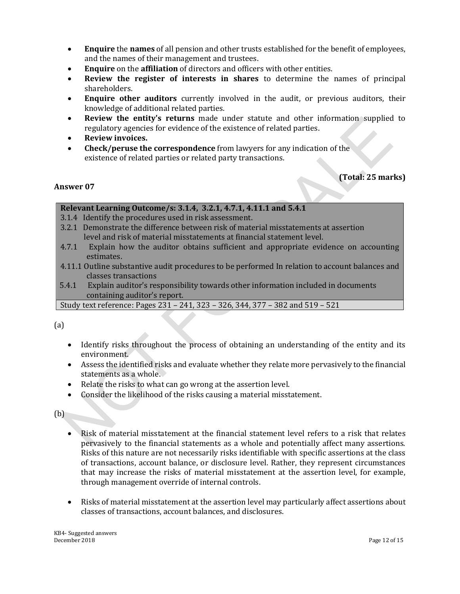- **Enquire** the **names** of all pension and other trusts established for the benefit of employees, and the names of their management and trustees.
- **Enquire** on the **affiliation** of directors and officers with other entities.
- **Review the register of interests in shares** to determine the names of principal shareholders.
- **Enquire other auditors** currently involved in the audit, or previous auditors, their knowledge of additional related parties.
- **Review the entity's returns** made under statute and other information supplied to regulatory agencies for evidence of the existence of related parties.
- **Review invoices.**
- **Check/peruse the correspondence** from lawyers for any indication of the existence of related parties or related party transactions.

### **(Total: 25 marks)**

### **Answer 07**

### **Relevant Learning Outcome/s: 3.1.4, 3.2.1, 4.7.1, 4.11.1 and 5.4.1**

3.1.4 Identify the procedures used in risk assessment.

- 3.2.1 Demonstrate the difference between risk of material misstatements at assertion level and risk of material misstatements at financial statement level.
- 4.7.1 Explain how the auditor obtains sufficient and appropriate evidence on accounting estimates.
- 4.11.1 Outline substantive audit procedures to be performed In relation to account balances and classes transactions
- 5.4.1 Explain auditor's responsibility towards other information included in documents containing auditor's report.

Study text reference: Pages 231 – 241, 323 – 326, 344, 377 – 382 and 519 – 521

(a)

- Identify risks throughout the process of obtaining an understanding of the entity and its environment.
- Assess the identified risks and evaluate whether they relate more pervasively to the financial statements as a whole.
- Relate the risks to what can go wrong at the assertion level.
- Consider the likelihood of the risks causing a material misstatement.

(b)

- Risk of material misstatement at the financial statement level refers to a risk that relates pervasively to the financial statements as a whole and potentially affect many assertions. Risks of this nature are not necessarily risks identifiable with specific assertions at the class of transactions, account balance, or disclosure level. Rather, they represent circumstances that may increase the risks of material misstatement at the assertion level, for example, through management override of internal controls.
- Risks of material misstatement at the assertion level may particularly affect assertions about classes of transactions, account balances, and disclosures.

KB4- Suggested answers December 2018 Page 12 of 15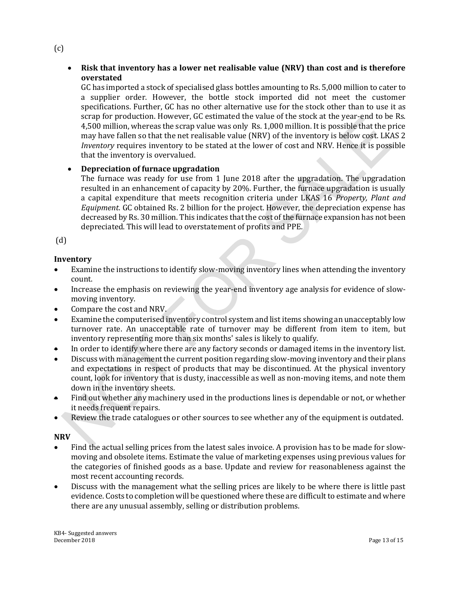### **Risk that inventory has a lower net realisable value (NRV) than cost and is therefore overstated**

GC has imported a stock of specialised glass bottles amounting to Rs. 5,000 million to cater to a supplier order. However, the bottle stock imported did not meet the customer specifications. Further, GC has no other alternative use for the stock other than to use it as scrap for production. However, GC estimated the value of the stock at the year-end to be Rs. 4,500 million, whereas the scrap value was only Rs. 1,000 million. It is possible that the price may have fallen so that the net realisable value (NRV) of the inventory is below cost. LKAS 2 *Inventory* requires inventory to be stated at the lower of cost and NRV. Hence it is possible that the inventory is overvalued.

### **Depreciation of furnace upgradation**

The furnace was ready for use from 1 June 2018 after the upgradation. The upgradation resulted in an enhancement of capacity by 20%. Further, the furnace upgradation is usually a capital expenditure that meets recognition criteria under LKAS 16 *Property, Plant and Equipment*. GC obtained Rs. 2 billion for the project. However, the depreciation expense has decreased by Rs. 30 million. This indicates that the cost of the furnace expansion has not been depreciated. This will lead to overstatement of profits and PPE.

(d)

### **Inventory**

- Examine the instructions to identify slow-moving inventory lines when attending the inventory count.
- Increase the emphasis on reviewing the year-end inventory age analysis for evidence of slowmoving inventory.
- Compare the cost and NRV.
- Examine the computerised inventory control system and list items showing an unacceptably low turnover rate. An unacceptable rate of turnover may be different from item to item, but inventory representing more than six months' sales is likely to qualify.
- In order to identify where there are any factory seconds or damaged items in the inventory list.
- Discuss with management the current position regarding slow-moving inventory and their plans and expectations in respect of products that may be discontinued. At the physical inventory count, look for inventory that is dusty, inaccessible as well as non-moving items, and note them down in the inventory sheets.
- Find out whether any machinery used in the productions lines is dependable or not, or whether it needs frequent repairs.
- Review the trade catalogues or other sources to see whether any of the equipment is outdated.

#### **NRV**

- Find the actual selling prices from the latest sales invoice. A provision has to be made for slowmoving and obsolete items. Estimate the value of marketing expenses using previous values for the categories of finished goods as a base. Update and review for reasonableness against the most recent accounting records.
- Discuss with the management what the selling prices are likely to be where there is little past evidence. Costs to completion will be questioned where these are difficult to estimate and where there are any unusual assembly, selling or distribution problems.

(c)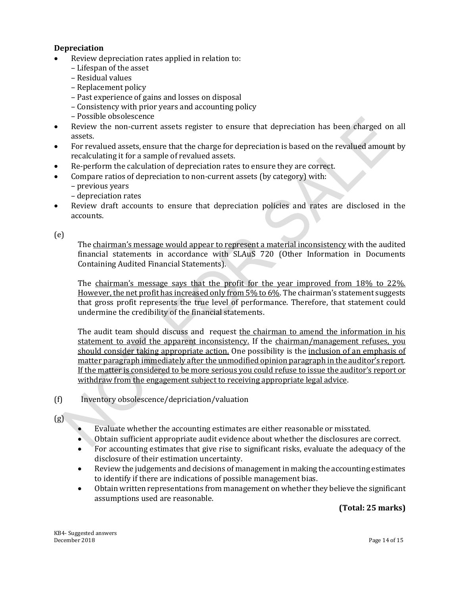### **Depreciation**

- Review depreciation rates applied in relation to:
	- Lifespan of the asset
	- Residual values
	- Replacement policy
	- Past experience of gains and losses on disposal
	- Consistency with prior years and accounting policy
	- Possible obsolescence
- Review the non-current assets register to ensure that depreciation has been charged on all assets.
- For revalued assets, ensure that the charge for depreciation is based on the revalued amount by recalculating it for a sample of revalued assets.
- Re-perform the calculation of depreciation rates to ensure they are correct.
- Compare ratios of depreciation to non-current assets (by category) with:
	- previous years
	- depreciation rates
- Review draft accounts to ensure that depreciation policies and rates are disclosed in the accounts.

(e)

The chairman's message would appear to represent a material inconsistency with the audited financial statements in accordance with SLAuS 720 (Other Information in Documents Containing Audited Financial Statements).

The chairman's message says that the profit for the year improved from 18% to 22%. However, the net profit has increased only from 5% to 6%. The chairman's statement suggests that gross profit represents the true level of performance. Therefore, that statement could undermine the credibility of the financial statements.

The audit team should discuss and request the chairman to amend the information in his statement to avoid the apparent inconsistency. If the chairman/management refuses, you should consider taking appropriate action. One possibility is the inclusion of an emphasis of matter paragraph immediately after the unmodified opinion paragraph in the auditor's report. If the matter is considered to be more serious you could refuse to issue the auditor's report or withdraw from the engagement subject to receiving appropriate legal advice.

(f) Inventory obsolescence/depriciation/valuation

### $(g)$

- Evaluate whether the accounting estimates are either reasonable or misstated.
- Obtain sufficient appropriate audit evidence about whether the disclosures are correct.
- For accounting estimates that give rise to significant risks, evaluate the adequacy of the disclosure of their estimation uncertainty.
- Review the judgements and decisions of management in making the accounting estimates to identify if there are indications of possible management bias.
- Obtain written representations from management on whether they believe the significant assumptions used are reasonable.

### **(Total: 25 marks)**